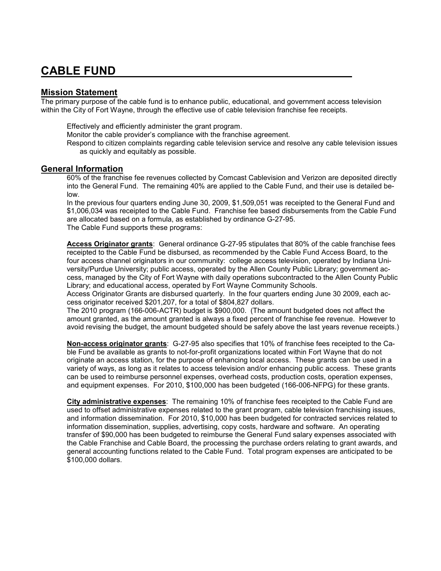## **CABLE FUND**

## **Mission Statement**

The primary purpose of the cable fund is to enhance public, educational, and government access television within the City of Fort Wayne, through the effective use of cable television franchise fee receipts.

Effectively and efficiently administer the grant program.

Monitor the cable provider's compliance with the franchise agreement.

Respond to citizen complaints regarding cable television service and resolve any cable television issues as quickly and equitably as possible.

## **General Information**

60% of the franchise fee revenues collected by Comcast Cablevision and Verizon are deposited directly into the General Fund. The remaining 40% are applied to the Cable Fund, and their use is detailed below.

In the previous four quarters ending June 30, 2009, \$1,509,051 was receipted to the General Fund and \$1,006,034 was receipted to the Cable Fund. Franchise fee based disbursements from the Cable Fund are allocated based on a formula, as established by ordinance G-27-95. The Cable Fund supports these programs:

**Access Originator grants**: General ordinance G-27-95 stipulates that 80% of the cable franchise fees receipted to the Cable Fund be disbursed, as recommended by the Cable Fund Access Board, to the four access channel originators in our community: college access television, operated by Indiana University/Purdue University; public access, operated by the Allen County Public Library; government access, managed by the City of Fort Wayne with daily operations subcontracted to the Allen County Public Library; and educational access, operated by Fort Wayne Community Schools.

Access Originator Grants are disbursed quarterly. In the four quarters ending June 30 2009, each access originator received \$201,207, for a total of \$804,827 dollars.

The 2010 program (166-006-ACTR) budget is \$900,000. (The amount budgeted does not affect the amount granted, as the amount granted is always a fixed percent of franchise fee revenue. However to avoid revising the budget, the amount budgeted should be safely above the last years revenue receipts.)

**Non-access originator grants**: G-27-95 also specifies that 10% of franchise fees receipted to the Cable Fund be available as grants to not-for-profit organizations located within Fort Wayne that do not originate an access station, for the purpose of enhancing local access. These grants can be used in a variety of ways, as long as it relates to access television and/or enhancing public access. These grants can be used to reimburse personnel expenses, overhead costs, production costs, operation expenses, and equipment expenses. For 2010, \$100,000 has been budgeted (166-006-NFPG) for these grants.

**City administrative expenses**: The remaining 10% of franchise fees receipted to the Cable Fund are used to offset administrative expenses related to the grant program, cable television franchising issues, and information dissemination. For 2010, \$10,000 has been budgeted for contracted services related to information dissemination, supplies, advertising, copy costs, hardware and software. An operating transfer of \$90,000 has been budgeted to reimburse the General Fund salary expenses associated with the Cable Franchise and Cable Board, the processing the purchase orders relating to grant awards, and general accounting functions related to the Cable Fund. Total program expenses are anticipated to be \$100,000 dollars.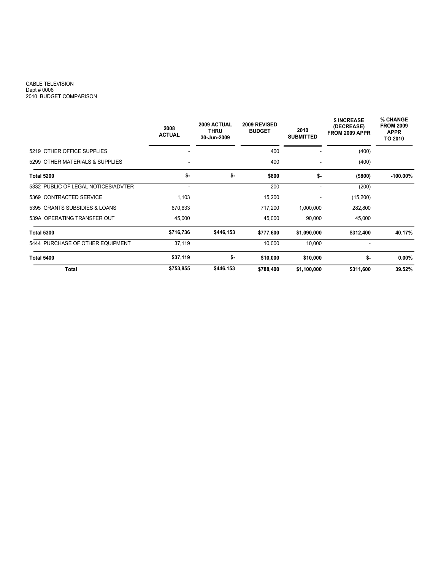## CABLE TELEVISION Dept # 0006 2010 BUDGET COMPARISON

|                                     | 2008<br><b>ACTUAL</b> | 2009 ACTUAL<br><b>THRU</b><br>30-Jun-2009 | 2009 REVISED<br><b>BUDGET</b> | 2010<br><b>SUBMITTED</b> | \$ INCREASE<br>(DECREASE)<br>FROM 2009 APPR | <b>% CHANGE</b><br><b>FROM 2009</b><br><b>APPR</b><br>TO 2010 |
|-------------------------------------|-----------------------|-------------------------------------------|-------------------------------|--------------------------|---------------------------------------------|---------------------------------------------------------------|
| 5219 OTHER OFFICE SUPPLIES          |                       |                                           | 400                           |                          | (400)                                       |                                                               |
| 5299 OTHER MATERIALS & SUPPLIES     |                       |                                           | 400                           | $\overline{\phantom{a}}$ | (400)                                       |                                                               |
| <b>Total 5200</b>                   | \$-                   | \$-                                       | \$800                         | \$-                      | (\$800)                                     | $-100.00\%$                                                   |
| 5332 PUBLIC OF LEGAL NOTICES/ADVTER |                       |                                           | 200                           | $\blacksquare$           | (200)                                       |                                                               |
| 5369 CONTRACTED SERVICE             | 1,103                 |                                           | 15,200                        |                          | (15,200)                                    |                                                               |
| 5395 GRANTS SUBSIDIES & LOANS       | 670,633               |                                           | 717,200                       | 1,000,000                | 282,800                                     |                                                               |
| 539A OPERATING TRANSFER OUT         | 45,000                |                                           | 45,000                        | 90,000                   | 45,000                                      |                                                               |
| <b>Total 5300</b>                   | \$716,736             | \$446,153                                 | \$777,600                     | \$1,090,000              | \$312,400                                   | 40.17%                                                        |
| 5444 PURCHASE OF OTHER EQUIPMENT    | 37,119                |                                           | 10,000                        | 10,000                   | $\overline{\phantom{a}}$                    |                                                               |
| <b>Total 5400</b>                   | \$37,119              | \$-                                       | \$10,000                      | \$10,000                 | \$-                                         | $0.00\%$                                                      |
| Total                               | \$753,855             | \$446,153                                 | \$788,400                     | \$1,100,000              | \$311,600                                   | 39.52%                                                        |